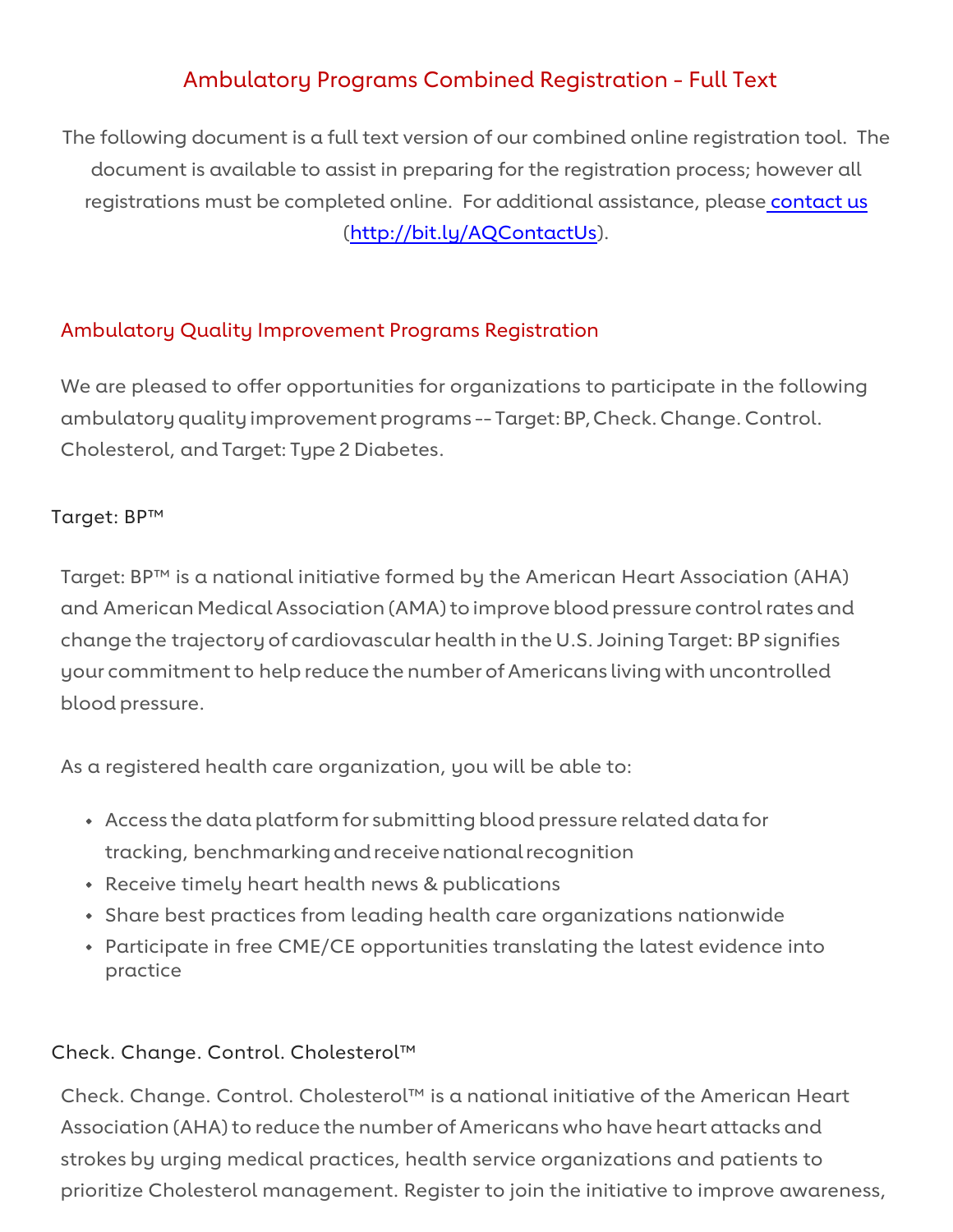# Ambulatory Programs Combined Registration - Full Text

 The following document is a full text version of our combined online registration tool. The document is available to assist in preparing for the registration process; however all registrations must be completed online. For additional assistance, please contact us [\(http://bit.ly/AQContactUs\)](http://bit.ly/AQContactUs).

# Ambulatory Quality Improvement Programs Registration

 We are pleased to offer opportunities for organizations to participate in the following ambulatory quality improvement programs -- Target: BP,Check. Change. Control. Cholesterol, and Target: Type 2 Diabetes.

## Target: BP™

 Target: BP™ is a national initiative formed by the American Heart Association (AHA) and American Medical Association (AMA) to improve blood pressure control rates and change the trajectory of cardiovascular health in the U.S. Joining Target: BP signifies your commitment to help reduce the number of Americans living with uncontrolled blood pressure.

As a registered health care organization, you will be able to:

- • Access the data platform for submitting blood pressure related data for tracking, benchmarking and receive national recognition
- Receive timely heart health news & publications
- Share best practices from leading health care organizations nationwide
- Participate in free CME/CE opportunities translating the latest evidence into practice

# Check. Change. Control. Cholesterol™

 Association (AHA) to reduce the number of Americans who have heart attacks and prioritize Cholesterol management. Register to join the initiative to improve awareness, Check. Change. Control. Cholesterol™ is a national initiative of the American Heart strokes by urging medical practices, health service organizations and patients to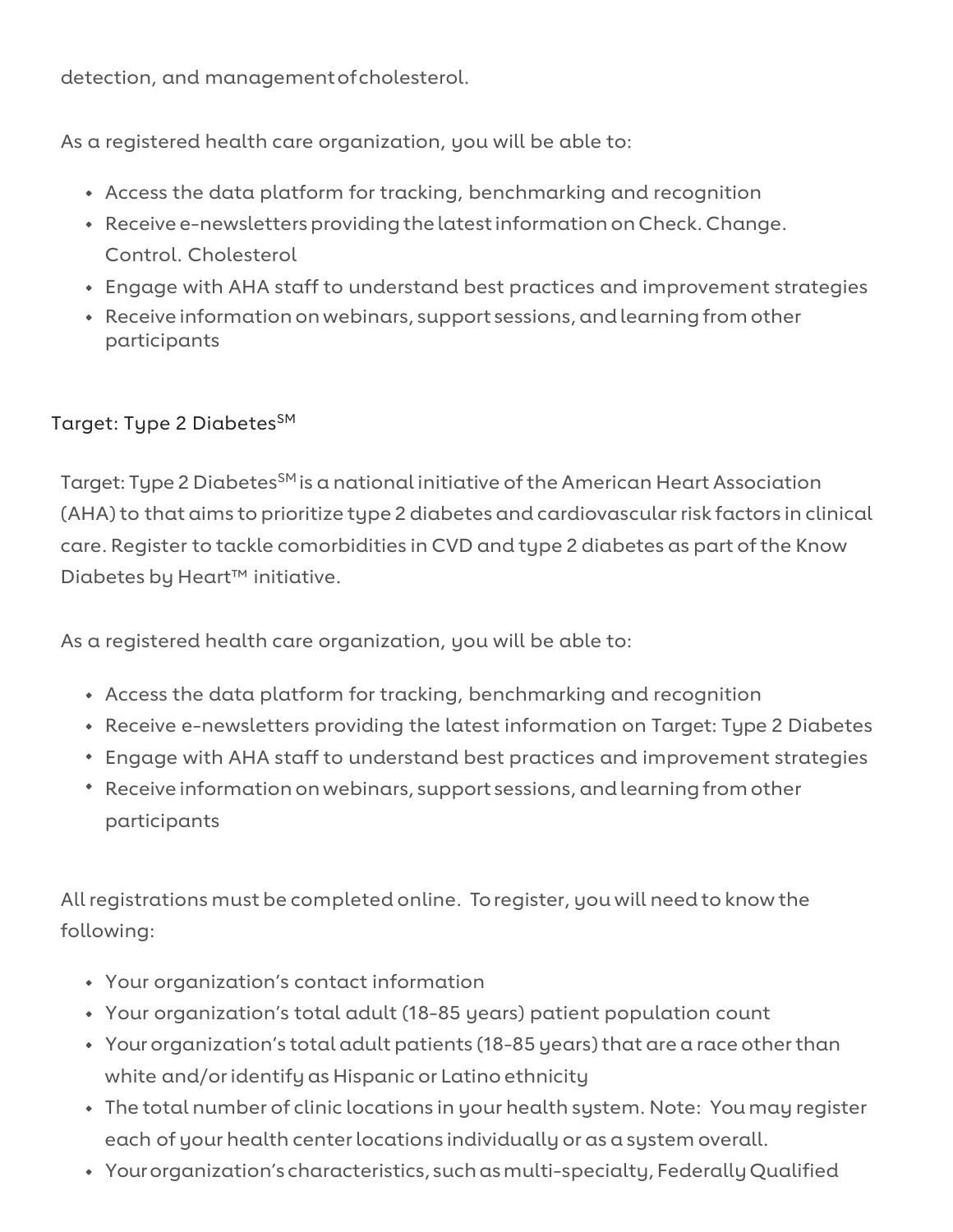detection, and managementofcholesterol.

As a registered health care organization, you will be able to:

- Access the data platform for tracking, benchmarking and recognition
- • Receive e-newsletters providing the latest information on Check. Change. Control. Cholesterol
- Engage with AHA staff to understand best practices and improvement strategies
- • Receive information on webinars, support sessions, and learning from other participants

# Target: Type 2 Diabetes<sup>SM</sup>

Target: Type 2 Diabetes<sup>sM</sup> is a national initiative of the American Heart Association (AHA) to that aims to prioritize type 2 diabetes and cardiovascular risk factors in clinical care. Register to tackle comorbidities in CVD and type 2 diabetes as part of the Know Diabetes by Heart™ initiative.

As a registered health care organization, you will be able to:

- Access the data platform for tracking, benchmarking and recognition
- Receive e-newsletters providing the latest information on Target: Type 2 Diabetes
- Engage with AHA staff to understand best practices and improvement strategies
- • Receive information on webinars, support sessions, and learning from other participants

 All registrations must be completed online. To register, you will need to know the following:

- Your organization's contact information
- Your organization's total adult (18-85 years) patient population count
- • Your organization's total adult patients (18-85 years) that are a race other than white and/or identify as Hispanic or Latino ethnicity
- • The total number of clinic locations in your health system. Note: You may register each of your health center locations individually or as a system overall.
- Your organization's characteristics, such as multi-specialty, Federally Qualified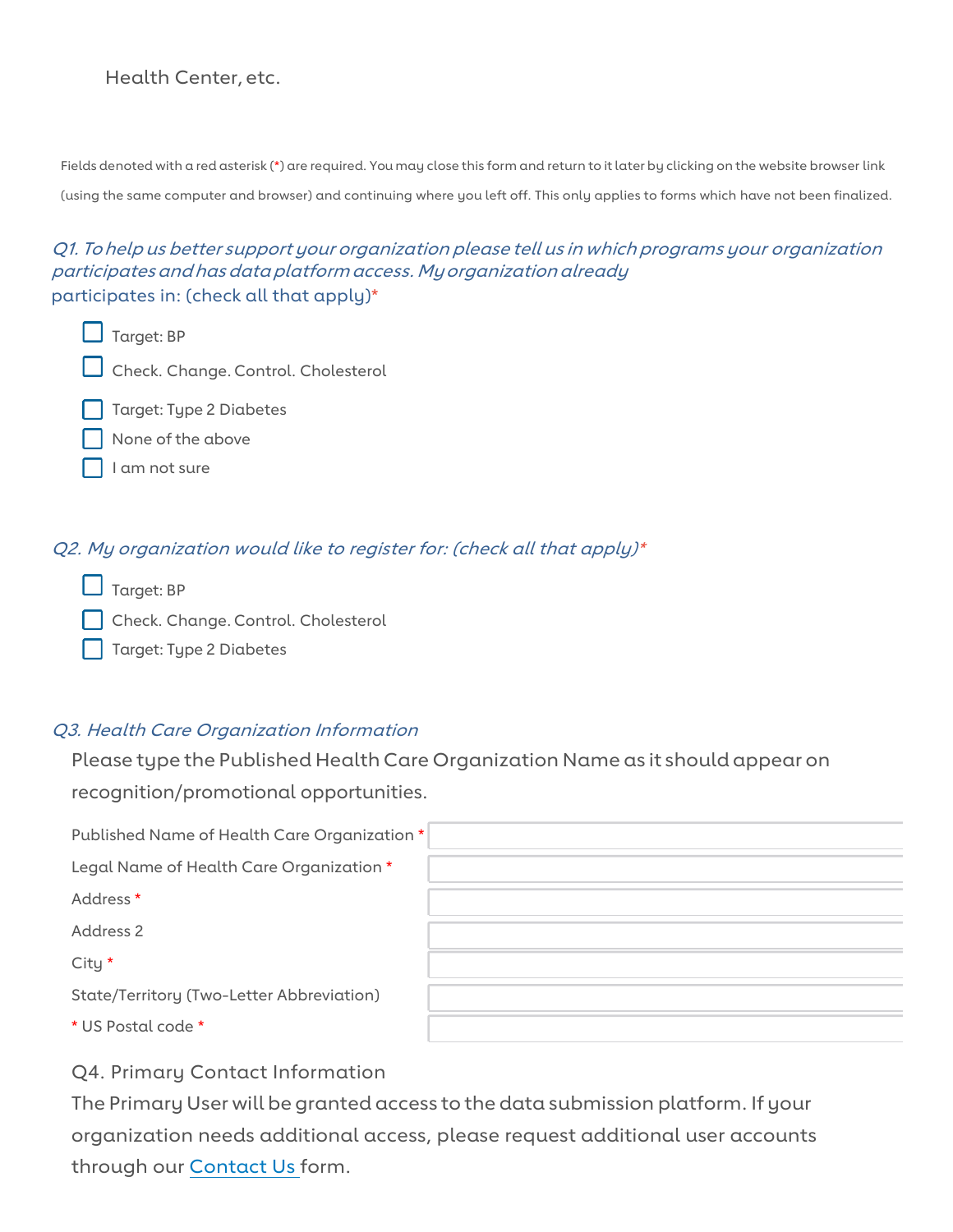## Health Center, etc.

 Fields denoted with a red asterisk (\*) are required. You may close this form and return to it later by clicking on the website browser link (using the same computer and browser) and continuing where you left off. This only applies to forms which have not been finalized.

## Q1. To help us better support your organization please tell us in which programs your organization participates and has data platform access. My organization already participates in: (check all that apply)\*

- □ Target: BP
- □ Check. Change. Control. Cholesterol
- □ Target: Type 2 Diabetes
- □ None of the above
- □ '' I am not sure

#### Q2. My organization would like to register for: (check all that apply)\*

- □ Target: BP
- □ Check. Change. Control. Cholesterol
- □ Target: Type 2 Diabetes

#### Q3. Health Care Organization Information

 Please type the Published Health Care Organization Name as it should appear on recognition/promotional opportunities.

| Published Name of Health Care Organization * |  |
|----------------------------------------------|--|
| Legal Name of Health Care Organization *     |  |
| Address *                                    |  |
| Address 2                                    |  |
| City *                                       |  |
| State/Territory (Two-Letter Abbreviation)    |  |
| * US Postal code *                           |  |

## Q4. Primary Contact Information

 The Primary User will be granted access to the data submission platform. If your organization needs additional access, please request additional user accounts through our [Contact Us](https://form.jotform.com/93285734125157) form.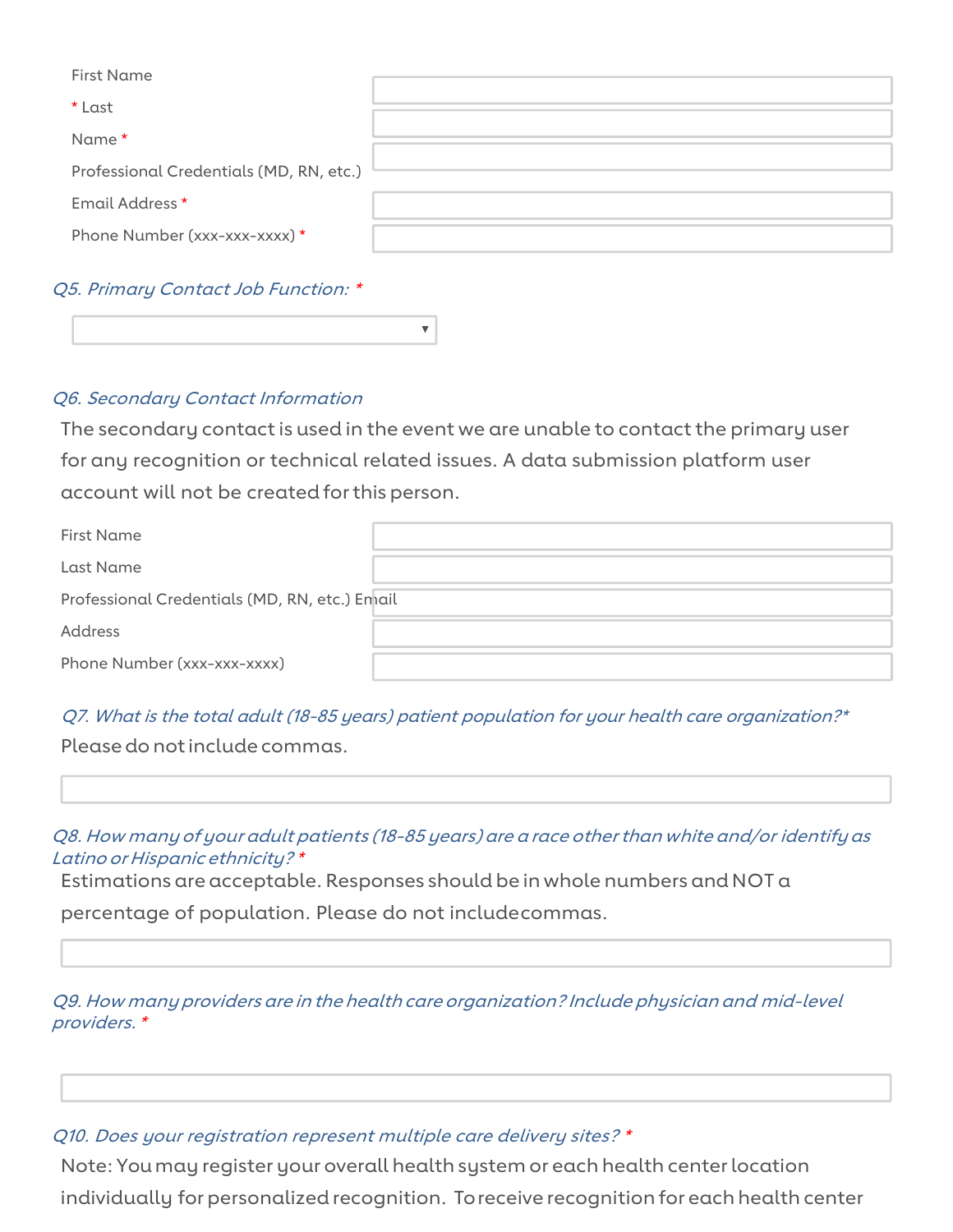| <b>First Name</b>                       |  |
|-----------------------------------------|--|
| * Last                                  |  |
| Name*                                   |  |
| Professional Credentials (MD, RN, etc.) |  |
| Email Address *                         |  |
| Phone Number (xxx-xxx-xxxx) *           |  |
|                                         |  |

#### Q5. Primary Contact Job Function: \*

#### Q6. Secondary Contact Information

 The secondary contact is used in the event we are unable to contact the primary user for any recognition or technical related issues. A data submission platform user account will not be created for this person.

,.

| First Name                                     |  |  |  |
|------------------------------------------------|--|--|--|
| Last Name                                      |  |  |  |
| Professional Credentials (MD, RN, etc.) Enhail |  |  |  |
| Address                                        |  |  |  |
| Phone Number (xxx-xxx-xxxx)                    |  |  |  |

#### Q7. What is the total adult (18-85 years) patient population for your health care organization?\*

Please do not include commas.

#### Q8. How many of your adult patients (18-85 years) are a race other than white and/or identify as Latino or Hispanic ethnicity? \*

Estimations are acceptable. Responses should be in whole numbers and NOT a

percentage of population. Please do not includecommas.

#### Q9. How many providers are in the health care organization? Include physician and mid-level providers. \*

#### Q10. Does your registration represent multiple care delivery sites? \*

 Note: You may register your overall health system or each health center location individually for personalized recognition. Toreceive recognition for each health center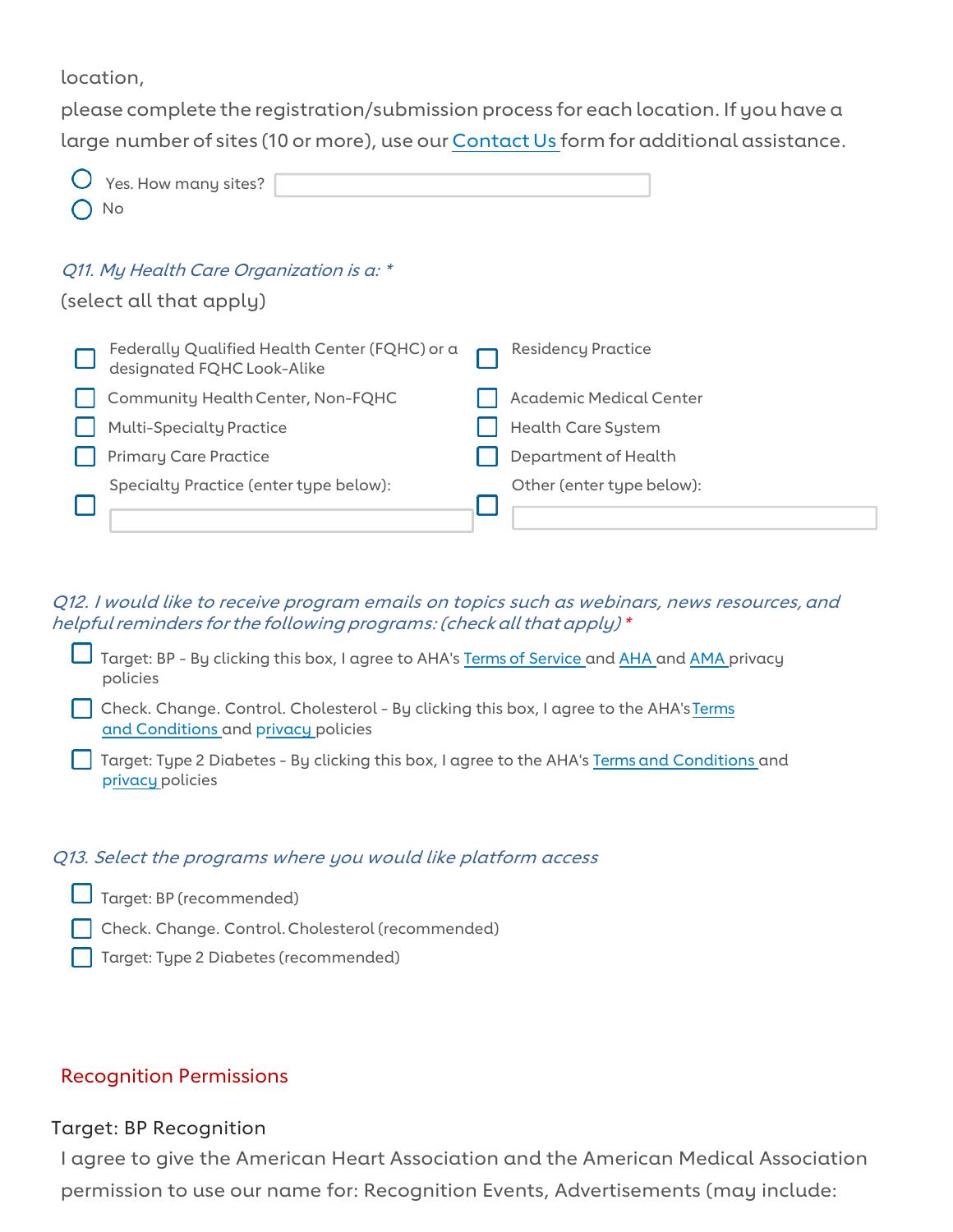location,

 please complete the registration/submission process for each location. If you have a large number of sites (10 or more), use our [Contact Us f](https://form.jotform.com/93285734125157)orm for additional assistance.

| Yes. How many sites?<br>No                                                  |                                |
|-----------------------------------------------------------------------------|--------------------------------|
| Q11. My Health Care Organization is a: *<br>(select all that apply)         |                                |
| Federally Qualified Health Center (FQHC) or a<br>designated FQHC Look-Alike | <b>Residency Practice</b>      |
| Community Health Center, Non-FQHC                                           | <b>Academic Medical Center</b> |
| <b>Multi-Specialty Practice</b>                                             | <b>Health Care System</b>      |
| <b>Primary Care Practice</b>                                                | Department of Health           |
| Specialty Practice (enter type below):                                      | Other (enter type below):      |

 Q12. I would like to receive program emails on topics such as webinars, news resources, and helpful reminders for the following programs: (check all that apply) \*

- Target: BP By clicking this box, I agree to AHA's <u>Terms of Service and [AHA](https://www.heart.org/en/about-us/statements-and-policies/privacy-statement) and AMA</u> privacy<br>policies<br>Check. Change. Control. Cholesterol By clicking this box, I agree to the AHA's <u>Terms</u> policies
- Check. Change. Control. Cholesterol [By clicking this box, I agree to the AHA's Terms](https://americanheart.co1.qualtrics.com/WRQualtricsControlPanel_rel/File.php?F=F_eY916LC8mjfLBrv)  [and Conditions and](https://americanheart.co1.qualtrics.com/WRQualtricsControlPanel_rel/File.php?F=F_eY916LC8mjfLBrv) [privacy](https://www.heart.org/en/about-us/statements-and-policies/privacy-statement) [policies](https://americanheart.co1.qualtrics.com/WRQualtricsControlPanel_rel/File.php?F=F_eY916LC8mjfLBrv)
- Target: Type 2 Diabetes By clicking this box, I agree to the AHA'[s Terms and Conditions](https://americanheart.co1.qualtrics.com/WRQualtricsControlPanel_rel/File.php?F=F_eY916LC8mjfLBrv) and [privacy p](https://www.heart.org/en/about-us/statements-and-policies/privacy-statement)olicies

#### Q13. Select the programs where you would like platform access

- □ Target: BP (recommended)<br>□ Check. Change. Control. Cl
	- I Check. Change. Control. Cholesterol (recommended)
- $\overline{\phantom{a}}$  $\Box$ Target: Type 2 Diabetes (recommended)

#### Recognition Permissions

#### Target: BP Recognition

 permission to use our name for: Recognition Events, Advertisements (may include: I agree to give the American Heart Association and the American Medical Association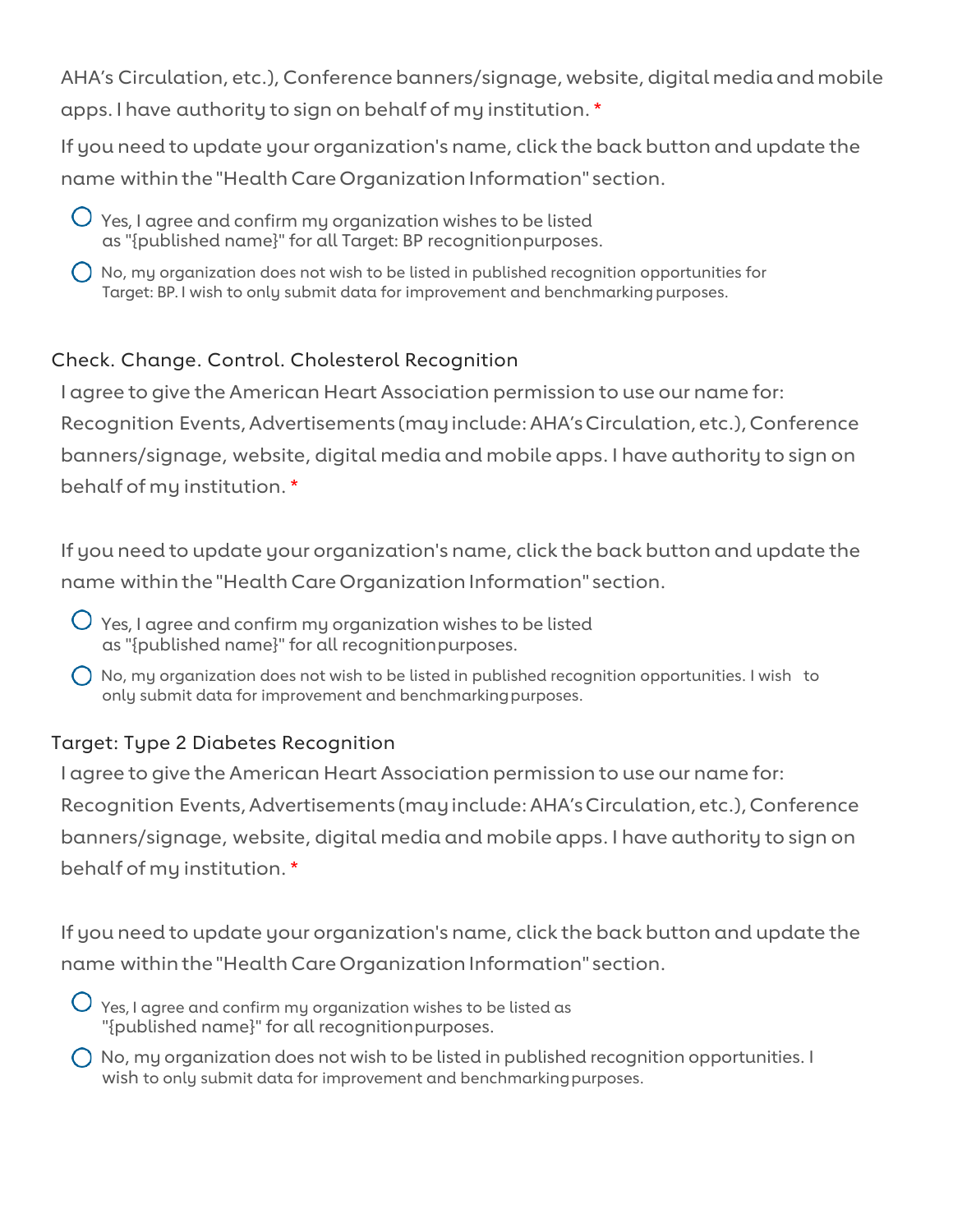AHA's Circulation, etc.), Conference banners/signage, website, digital media and mobile apps. I have authority to sign on behalf of my institution. \*

 If you need to update your organization's name, click the back button and update the name within the "Health Care Organization Information" section.

- $\mathrm O\,$  Yes, I agree and confirm my organization wishes to be listed as "{published name}" for all Target: BP recognitionpurposes.
- $\bigcirc$  No, my organization does not wish to be listed in published recognition opportunities for Target: BP. I wish to only submit data for improvement and benchmarking purposes.

# Check. Change. Control. Cholesterol Recognition

 I agree to give the American Heart Association permission to use our name for: Recognition Events, Advertisements (may include: AHA's Circulation, etc.), Conference banners/signage, website, digital media and mobile apps. I have authority to sign on behalf of my institution. \*

 If you need to update your organization's name, click the back button and update the name within the "Health Care Organization Information" section.

- $\mathrm O\,$  Yes, I agree and confirm my organization wishes to be listed as "{published name}" for all recognitionpurposes.
- $\bigcirc$  No, my organization does not wish to be listed in published recognition opportunities. I wish to only submit data for improvement and benchmarkingpurposes.

# Target: Type 2 Diabetes Recognition

 I agree to give the American Heart Association permission to use our name for: Recognition Events, Advertisements (may include: AHA's Circulation, etc.), Conference banners/signage, website, digital media and mobile apps. I have authority to sign on behalf of my institution. \*

 If you need to update your organization's name, click the back button and update the name within the "Health Care Organization Information" section.

- $\mathrm O\,$  Yes, I agree and confirm my organization wishes to be listed as "{published name}" for all recognitionpurposes.
- $\bigcirc$  No, my organization does not wish to be listed in published recognition opportunities. I wish to only submit data for improvement and benchmarkingpurposes.